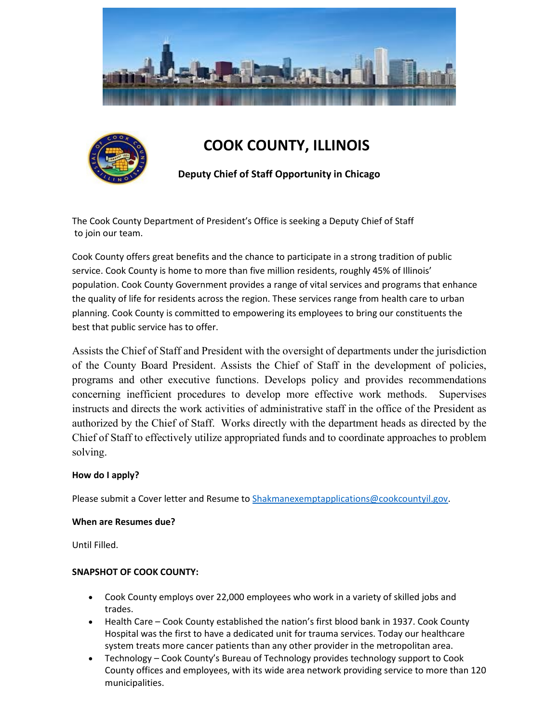



# **COOK COUNTY, ILLINOIS**

**Deputy Chief of Staff Opportunity in Chicago**

The Cook County Department of President's Office is seeking a Deputy Chief of Staff to join our team.

Cook County offers great benefits and the chance to participate in a strong tradition of public service. Cook County is home to more than five million residents, roughly 45% of Illinois' population. Cook County Government provides a range of vital services and programs that enhance the quality of life for residents across the region. These services range from health care to urban planning. Cook County is committed to empowering its employees to bring our constituents the best that public service has to offer.

Assists the Chief of Staff and President with the oversight of departments under the jurisdiction of the County Board President. Assists the Chief of Staff in the development of policies, programs and other executive functions. Develops policy and provides recommendations concerning inefficient procedures to develop more effective work methods. Supervises instructs and directs the work activities of administrative staff in the office of the President as authorized by the Chief of Staff. Works directly with the department heads as directed by the Chief of Staff to effectively utilize appropriated funds and to coordinate approaches to problem solving.

#### **How do I apply?**

Please submit a Cover letter and Resume t[o Shakmanexemptapplications@cookcountyil.gov.](mailto:Shakmanexemptapplications@cookcountyil.gov)

#### **When are Resumes due?**

Until Filled.

#### **SNAPSHOT OF COOK COUNTY:**

- Cook County employs over 22,000 employees who work in a variety of skilled jobs and trades.
- Health Care Cook County established the nation's first blood bank in 1937. Cook County Hospital was the first to have a dedicated unit for trauma services. Today our healthcare system treats more cancer patients than any other provider in the metropolitan area.
- Technology Cook County's Bureau of Technology provides technology support to Cook County offices and employees, with its wide area network providing service to more than 120 municipalities.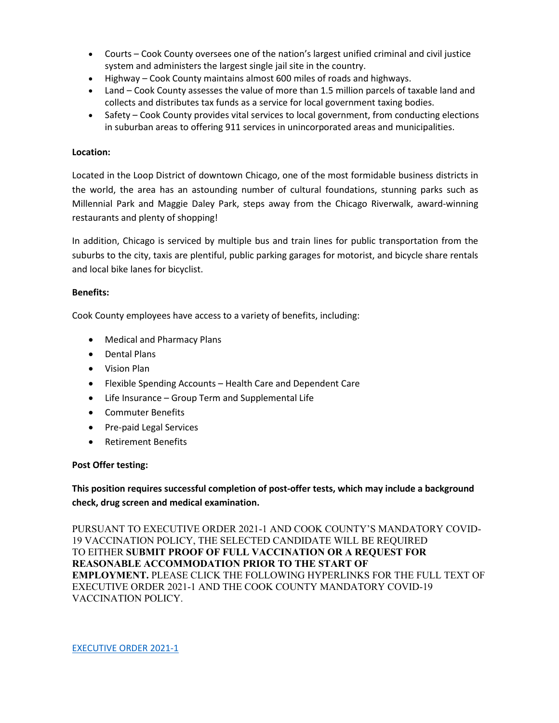- Courts Cook County oversees one of the nation's largest unified criminal and civil justice system and administers the largest single jail site in the country.
- Highway Cook County maintains almost 600 miles of roads and highways.
- Land Cook County assesses the value of more than 1.5 million parcels of taxable land and collects and distributes tax funds as a service for local government taxing bodies.
- Safety Cook County provides vital services to local government, from conducting elections in suburban areas to offering 911 services in unincorporated areas and municipalities.

#### **Location:**

Located in the Loop District of downtown Chicago, one of the most formidable business districts in the world, the area has an astounding number of cultural foundations, stunning parks such as Millennial Park and Maggie Daley Park, steps away from the Chicago Riverwalk, award-winning restaurants and plenty of shopping!

In addition, Chicago is serviced by multiple bus and train lines for public transportation from the suburbs to the city, taxis are plentiful, public parking garages for motorist, and bicycle share rentals and local bike lanes for bicyclist.

#### **Benefits:**

Cook County employees have access to a variety of benefits, including:

- Medical and Pharmacy Plans
- Dental Plans
- Vision Plan
- Flexible Spending Accounts Health Care and Dependent Care
- Life Insurance Group Term and Supplemental Life
- Commuter Benefits
- Pre-paid Legal Services
- Retirement Benefits

#### **Post Offer testing:**

**This position requires successful completion of post-offer tests, which may include a background check, drug screen and medical examination.**

PURSUANT TO EXECUTIVE ORDER 2021-1 AND COOK COUNTY'S MANDATORY COVID-19 VACCINATION POLICY, THE SELECTED CANDIDATE WILL BE REQUIRED TO EITHER **SUBMIT PROOF OF FULL VACCINATION OR A REQUEST FOR REASONABLE ACCOMMODATION PRIOR TO THE START OF EMPLOYMENT.** PLEASE CLICK THE FOLLOWING HYPERLINKS FOR THE FULL TEXT OF EXECUTIVE ORDER 2021-1 AND THE COOK COUNTY MANDATORY COVID-19 VACCINATION POLICY.

[EXECUTIVE ORDER 2021-1](https://www.cookcountyil.gov/agency/office-president)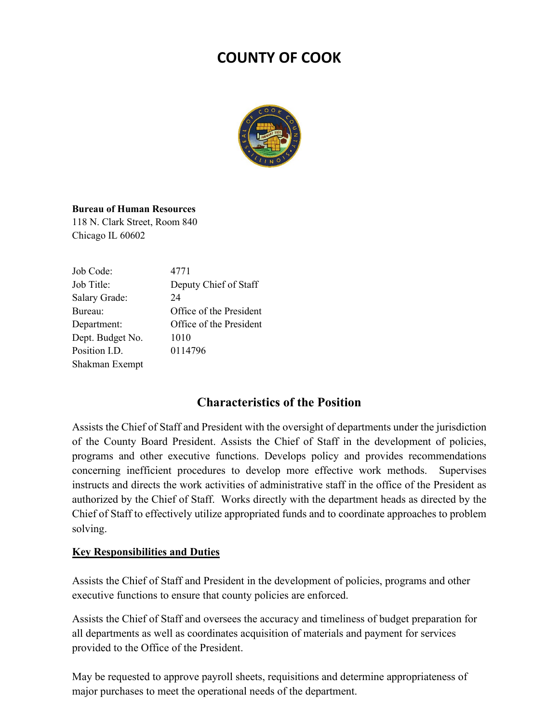# **COUNTY OF COOK**



## **Bureau of Human Resources**

118 N. Clark Street, Room 840 Chicago IL 60602

| Job Code:        | 4771                    |
|------------------|-------------------------|
| Job Title:       | Deputy Chief of Staff   |
| Salary Grade:    | 24                      |
| Bureau:          | Office of the President |
| Department:      | Office of the President |
| Dept. Budget No. | 1010                    |
| Position I.D.    | 0114796                 |
| Shakman Exempt   |                         |

## **Characteristics of the Position**

Assists the Chief of Staff and President with the oversight of departments under the jurisdiction of the County Board President. Assists the Chief of Staff in the development of policies, programs and other executive functions. Develops policy and provides recommendations concerning inefficient procedures to develop more effective work methods. Supervises instructs and directs the work activities of administrative staff in the office of the President as authorized by the Chief of Staff. Works directly with the department heads as directed by the Chief of Staff to effectively utilize appropriated funds and to coordinate approaches to problem solving.

## **Key Responsibilities and Duties**

Assists the Chief of Staff and President in the development of policies, programs and other executive functions to ensure that county policies are enforced.

Assists the Chief of Staff and oversees the accuracy and timeliness of budget preparation for all departments as well as coordinates acquisition of materials and payment for services provided to the Office of the President.

May be requested to approve payroll sheets, requisitions and determine appropriateness of major purchases to meet the operational needs of the department.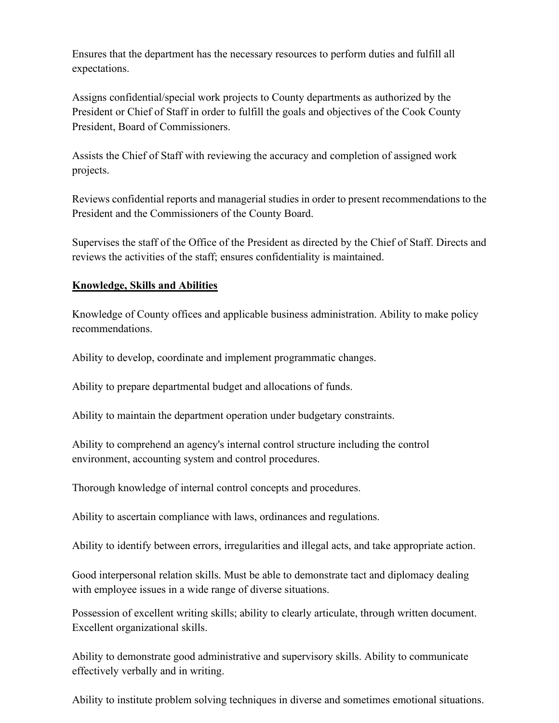Ensures that the department has the necessary resources to perform duties and fulfill all expectations.

Assigns confidential/special work projects to County departments as authorized by the President or Chief of Staff in order to fulfill the goals and objectives of the Cook County President, Board of Commissioners.

Assists the Chief of Staff with reviewing the accuracy and completion of assigned work projects.

Reviews confidential reports and managerial studies in order to present recommendations to the President and the Commissioners of the County Board.

Supervises the staff of the Office of the President as directed by the Chief of Staff. Directs and reviews the activities of the staff; ensures confidentiality is maintained.

## **Knowledge, Skills and Abilities**

Knowledge of County offices and applicable business administration. Ability to make policy recommendations.

Ability to develop, coordinate and implement programmatic changes.

Ability to prepare departmental budget and allocations of funds.

Ability to maintain the department operation under budgetary constraints.

Ability to comprehend an agency's internal control structure including the control environment, accounting system and control procedures.

Thorough knowledge of internal control concepts and procedures.

Ability to ascertain compliance with laws, ordinances and regulations.

Ability to identify between errors, irregularities and illegal acts, and take appropriate action.

Good interpersonal relation skills. Must be able to demonstrate tact and diplomacy dealing with employee issues in a wide range of diverse situations.

Possession of excellent writing skills; ability to clearly articulate, through written document. Excellent organizational skills.

Ability to demonstrate good administrative and supervisory skills. Ability to communicate effectively verbally and in writing.

Ability to institute problem solving techniques in diverse and sometimes emotional situations.